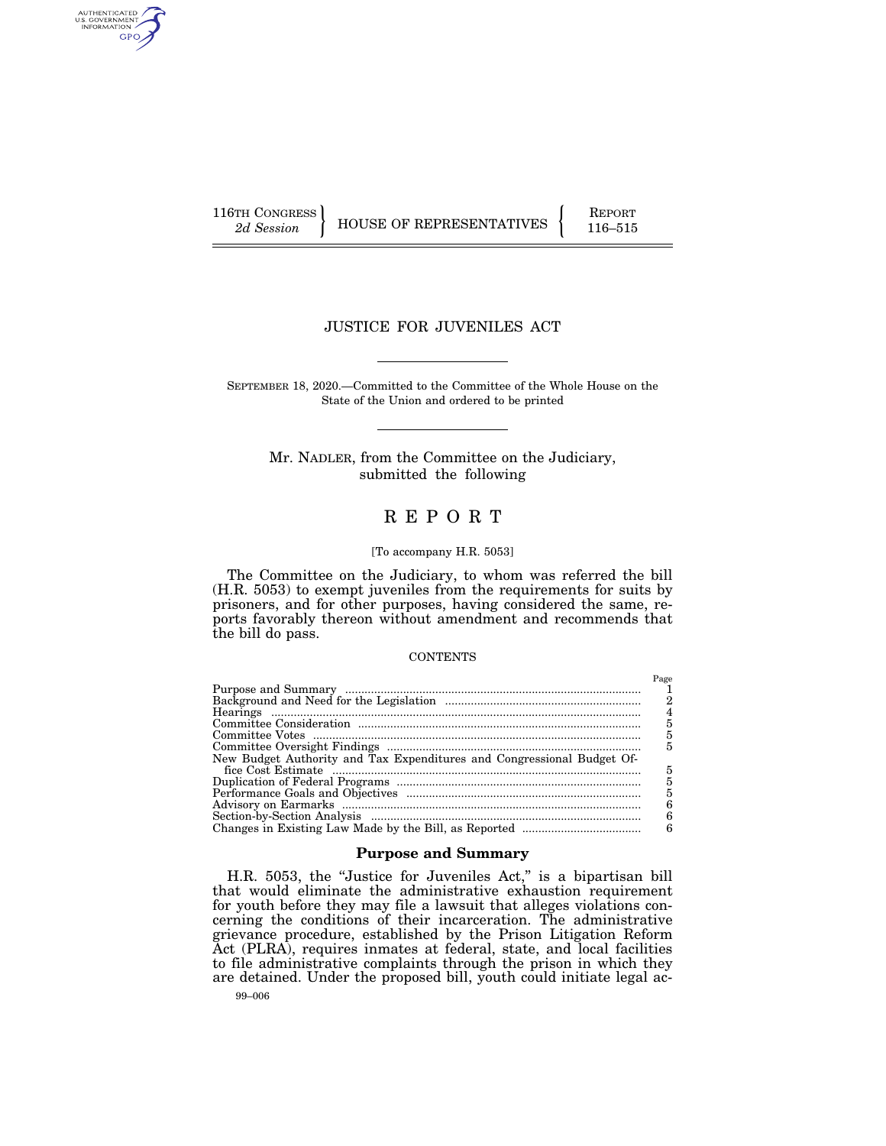AUTHENTICATED<br>U.S. GOVERNMENT<br>INFORMATION GPO

116TH CONGRESS HOUSE OF REPRESENTATIVES FEPORT 116–515

## JUSTICE FOR JUVENILES ACT

SEPTEMBER 18, 2020.—Committed to the Committee of the Whole House on the State of the Union and ordered to be printed

Mr. NADLER, from the Committee on the Judiciary, submitted the following

# R E P O R T

## [To accompany H.R. 5053]

The Committee on the Judiciary, to whom was referred the bill (H.R. 5053) to exempt juveniles from the requirements for suits by prisoners, and for other purposes, having considered the same, reports favorably thereon without amendment and recommends that the bill do pass.

#### **CONTENTS**

|                                                                        | Page |
|------------------------------------------------------------------------|------|
|                                                                        |      |
|                                                                        |      |
|                                                                        |      |
|                                                                        | 5    |
|                                                                        | 5    |
|                                                                        | 5    |
| New Budget Authority and Tax Expenditures and Congressional Budget Of- |      |
|                                                                        | 5    |
|                                                                        | 5    |
|                                                                        | 5    |
|                                                                        | 6    |
|                                                                        | R    |
|                                                                        | 6    |

### **Purpose and Summary**

H.R. 5053, the ''Justice for Juveniles Act,'' is a bipartisan bill that would eliminate the administrative exhaustion requirement for youth before they may file a lawsuit that alleges violations concerning the conditions of their incarceration. The administrative grievance procedure, established by the Prison Litigation Reform Act (PLRA), requires inmates at federal, state, and local facilities to file administrative complaints through the prison in which they are detained. Under the proposed bill, youth could initiate legal ac-

99–006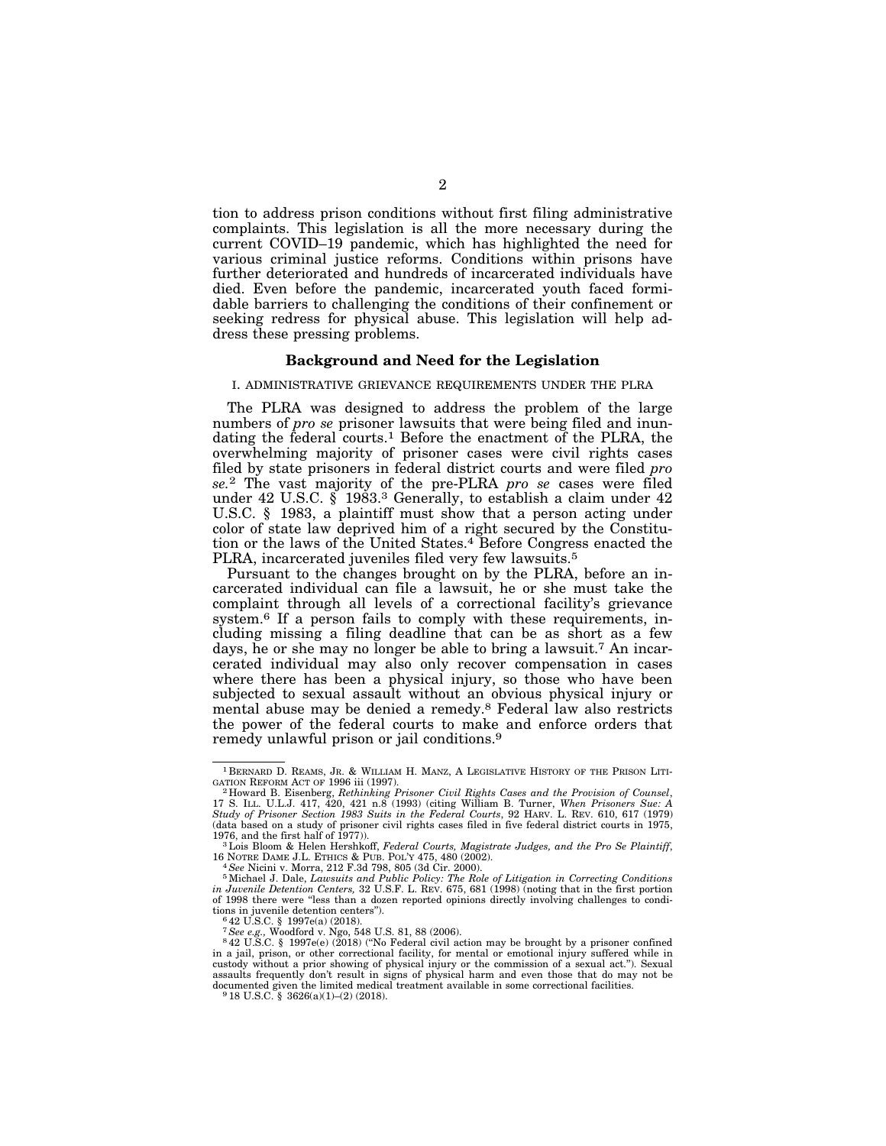tion to address prison conditions without first filing administrative complaints. This legislation is all the more necessary during the current COVID–19 pandemic, which has highlighted the need for various criminal justice reforms. Conditions within prisons have further deteriorated and hundreds of incarcerated individuals have died. Even before the pandemic, incarcerated youth faced formidable barriers to challenging the conditions of their confinement or seeking redress for physical abuse. This legislation will help address these pressing problems.

#### **Background and Need for the Legislation**

#### I. ADMINISTRATIVE GRIEVANCE REQUIREMENTS UNDER THE PLRA

The PLRA was designed to address the problem of the large numbers of *pro se* prisoner lawsuits that were being filed and inundating the federal courts.<sup>1</sup> Before the enactment of the PLRA, the overwhelming majority of prisoner cases were civil rights cases filed by state prisoners in federal district courts and were filed *pro se.*2 The vast majority of the pre-PLRA *pro se* cases were filed under 42 U.S.C. § 1983.3 Generally, to establish a claim under 42 U.S.C. § 1983, a plaintiff must show that a person acting under color of state law deprived him of a right secured by the Constitution or the laws of the United States.<sup>4</sup> Before Congress enacted the PLRA, incarcerated juveniles filed very few lawsuits.<sup>5</sup>

Pursuant to the changes brought on by the PLRA, before an incarcerated individual can file a lawsuit, he or she must take the complaint through all levels of a correctional facility's grievance system.6 If a person fails to comply with these requirements, including missing a filing deadline that can be as short as a few days, he or she may no longer be able to bring a lawsuit.7 An incarcerated individual may also only recover compensation in cases where there has been a physical injury, so those who have been subjected to sexual assault without an obvious physical injury or mental abuse may be denied a remedy.8 Federal law also restricts the power of the federal courts to make and enforce orders that remedy unlawful prison or jail conditions.9

16 NOTRE DAME J.L. ETHICS & PUB. POL'Y 475, 480 (2002).<br><sup>4</sup> See Nicini v. Morra, 212 F.3d 798, 805 (3d Cir. 2000).<br><sup>5</sup> Michael J. Dale, *Lawsuits and Public Policy: The Role of Litigation in Correcting Conditions*<br>*in Juv* tions in juvenile detention centers").<br>  $642$  U.S.C. § 1997e(a) (2018).<br>  $7$  See e.g., Woodford v. Ngo, 548 U.S. 81, 88 (2006).

 $^{\rm 1}$  BERNARD D. REAMS, JR. & WILLIAM H. MANZ, A LEGISLATIVE HISTORY OF THE PRISON LITIGATION REFORM ACT OF 1996 iii (1997).

<sup>&</sup>lt;sup>2</sup> Howard B. Eisenberg, *Rethinking Prisoner Civil Rights Cases and the Provision of Counsel,* 17 S. ILL. U.L.J. 417, 420, 421 n.8 (1993) (citing William B. Turner, *When Prisoners Sue: A Study of Prisoner Section 1983 Suits in the Federal Courts*, 92 HARV. L. REV. 610, 617 (1979) (data based on a study of prisoner civil rights cases filed in five federal district courts in 1975,

<sup>&</sup>lt;sup>1976</sup>, and the first half of 1976, and the first half of 1977.<br>16 NOTRE DAME J.L. ETHICS & PUR POL'Y 475, 480 (2002)

<sup>&</sup>lt;sup>8</sup>42 U.S.C. § 1997e(e) (2018) ("No Federal civil action may be brought by a prisoner confined in a jail, prison, or other correctional facility, for mental or emotional injury suffered while in custody without a prior showing of physical injury or the commission of a sexual act.''). Sexual assaults frequently don't result in signs of physical harm and even those that do may not be documented given the limited medical treatment available in some correctional facilities. 9 18 U.S.C. § 3626(a)(1)–(2) (2018).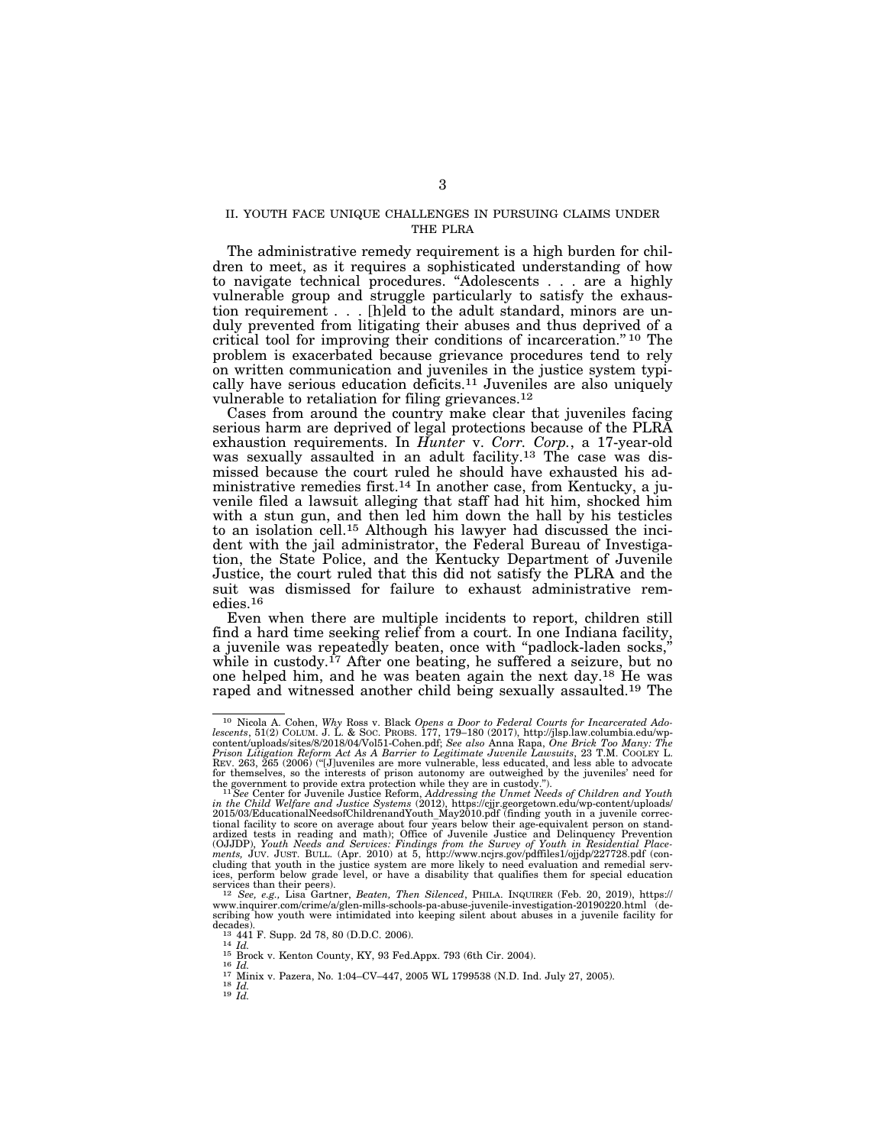### II. YOUTH FACE UNIQUE CHALLENGES IN PURSUING CLAIMS UNDER THE PLRA

The administrative remedy requirement is a high burden for children to meet, as it requires a sophisticated understanding of how to navigate technical procedures. ''Adolescents . . . are a highly vulnerable group and struggle particularly to satisfy the exhaustion requirement . . . [h]eld to the adult standard, minors are unduly prevented from litigating their abuses and thus deprived of a critical tool for improving their conditions of incarceration.'' 10 The problem is exacerbated because grievance procedures tend to rely on written communication and juveniles in the justice system typically have serious education deficits.11 Juveniles are also uniquely vulnerable to retaliation for filing grievances.<sup>12</sup>

Cases from around the country make clear that juveniles facing serious harm are deprived of legal protections because of the PLRA exhaustion requirements. In *Hunter* v. *Corr. Corp.*, a 17-year-old was sexually assaulted in an adult facility.<sup>13</sup> The case was dismissed because the court ruled he should have exhausted his administrative remedies first.14 In another case, from Kentucky, a juvenile filed a lawsuit alleging that staff had hit him, shocked him with a stun gun, and then led him down the hall by his testicles to an isolation cell.15 Although his lawyer had discussed the incident with the jail administrator, the Federal Bureau of Investigation, the State Police, and the Kentucky Department of Juvenile Justice, the court ruled that this did not satisfy the PLRA and the suit was dismissed for failure to exhaust administrative remedies.16

Even when there are multiple incidents to report, children still find a hard time seeking relief from a court. In one Indiana facility, a juvenile was repeatedly beaten, once with ''padlock-laden socks,'' while in custody.<sup>17</sup> After one beating, he suffered a seizure, but no one helped him, and he was beaten again the next day.18 He was raped and witnessed another child being sexually assaulted.19 The

<sup>&</sup>lt;sup>10</sup> Nicola A. Cohen, Why Ross v. Black Opens a Door to Federal Courts for Incarcerated Adolescents, 51(2) COLUM. J. L. & SOC. PROBS. 177, 179–180 (2017), http://jlsp.law.columbia.edu/wp-content/uploads/sites/8/2018/04/Vo REV. 263, 265 (2006) (''[J]uveniles are more vulnerable, less educated, and less able to advocate for themselves, so the interests of prison autonomy are outweighed by the juveniles' need for the government to provide extra protection while they are in custody.").

the government to provide extra protection while they are in custody.").<br><sup>11</sup>See Center for Juvenile Justice Reform, Addressing the Unmet Needs of Children and Youth<br>in the Child Welfare and Justice Systems (2012), https: tional facility to score on average about four years below their age-equivalent person on stand-<br>ardized tests in reading and math); Office of Juvenile Justice and Delinquency Prevention<br>(OJJDP), Youth Needs and Services: *ments,* JUV. JUST. BULL. (Apr. 2010) at 5, http://www.ncjrs.gov/pdffiles1/ojjdp/227728.pdf (concluding that youth in the justice system are more likely to need evaluation and remedial serv-ices, perform below grade level, or have a disability that qualifies them for special education

services than their peers).<br><sup>12</sup> *See, e.g., L*isa Gartner, *Beaten, Then Silenced*, PHILA. INQUIRER (Feb. 20, 2019), https://<br>www.inquirer.com/crime/a/glen-mills-schools-pa-abuse-juvenile-investigation-20190220.html(describing how youth were intimidated into keeping silent about abuses in a juvenile facility for

decades).<br>  $^{13}$  441 F. Supp. 2d 78, 80 (D.D.C. 2006).<br>  $^{14}$  Id.<br>  $^{15}$  Brock v. Kenton County, KY, 93 Fed.Appx. 793 (6th Cir. 2004).<br>  $^{16}$  Id.<br>  $^{17}$  Minix v. Pazera, No. 1:04-CV-447, 2005 WL 1799538 (N.D. Ind. Ju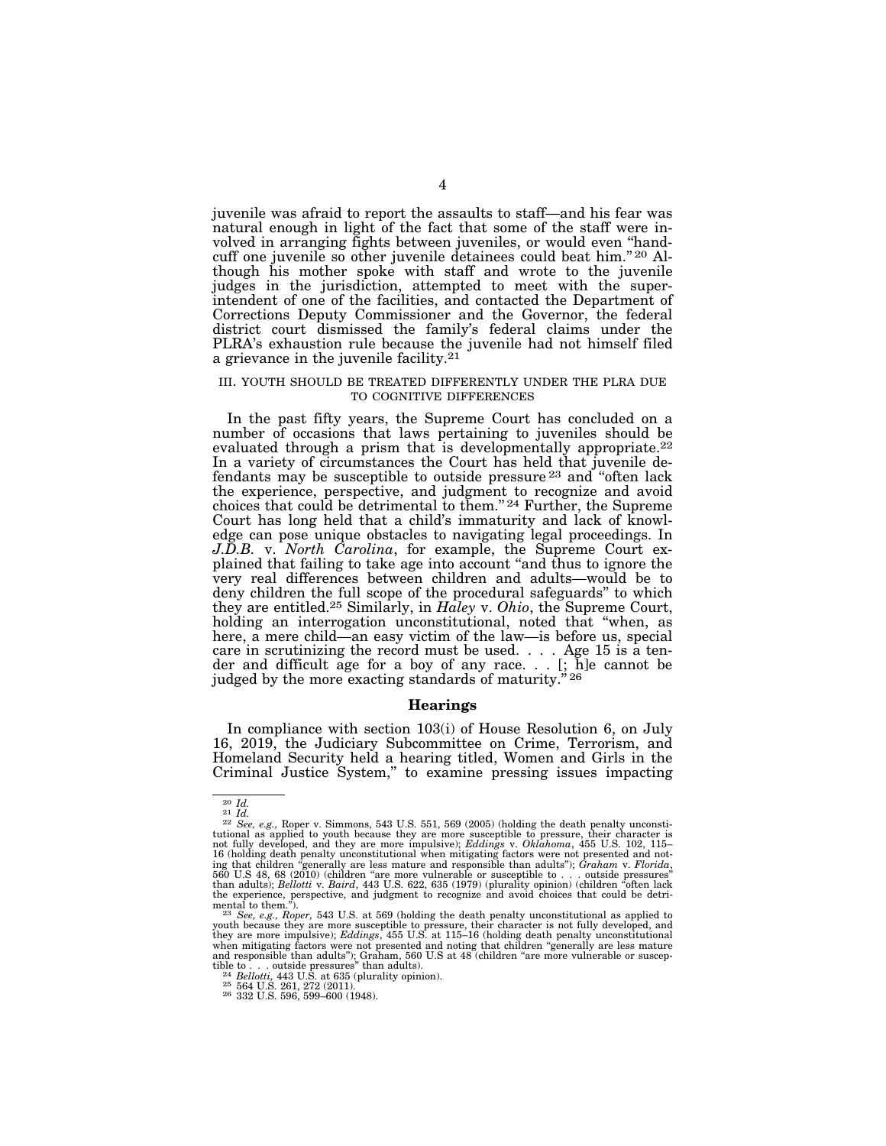juvenile was afraid to report the assaults to staff—and his fear was natural enough in light of the fact that some of the staff were involved in arranging fights between juveniles, or would even ''handcuff one juvenile so other juvenile detainees could beat him.'' 20 Although his mother spoke with staff and wrote to the juvenile judges in the jurisdiction, attempted to meet with the superintendent of one of the facilities, and contacted the Department of Corrections Deputy Commissioner and the Governor, the federal district court dismissed the family's federal claims under the PLRA's exhaustion rule because the juvenile had not himself filed a grievance in the juvenile facility.21

#### III. YOUTH SHOULD BE TREATED DIFFERENTLY UNDER THE PLRA DUE TO COGNITIVE DIFFERENCES

In the past fifty years, the Supreme Court has concluded on a number of occasions that laws pertaining to juveniles should be evaluated through a prism that is developmentally appropriate.<sup>22</sup> In a variety of circumstances the Court has held that juvenile defendants may be susceptible to outside pressure 23 and ''often lack the experience, perspective, and judgment to recognize and avoid choices that could be detrimental to them.'' 24 Further, the Supreme Court has long held that a child's immaturity and lack of knowledge can pose unique obstacles to navigating legal proceedings. In *J.D.B.* v. *North Carolina*, for example, the Supreme Court explained that failing to take age into account ''and thus to ignore the very real differences between children and adults—would be to deny children the full scope of the procedural safeguards'' to which they are entitled.25 Similarly, in *Haley* v. *Ohio*, the Supreme Court, holding an interrogation unconstitutional, noted that ''when, as here, a mere child—an easy victim of the law—is before us, special care in scrutinizing the record must be used.... Age 15 is a tender and difficult age for a boy of any race. . . [; h]e cannot be judged by the more exacting standards of maturity."<sup>26</sup>

#### **Hearings**

In compliance with section 103(i) of House Resolution 6, on July 16, 2019, the Judiciary Subcommittee on Crime, Terrorism, and Homeland Security held a hearing titled, Women and Girls in the Criminal Justice System,'' to examine pressing issues impacting

<sup>20</sup> *Id.* <sup>21</sup> *Id.* <sup>22</sup> *See, e.g.,* Roper v. Simmons, 543 U.S. 551, 569 (2005) (holding the death penalty unconstitutional as applied to youth because they are more susceptible to pressure, their character is not fully developed, and they are more impulsive); *Eddings* v. *Oklahoma*, 455 U.S. 102, 115– 16 (holding death penalty unconstitutional when mitigating factors were not presented and not-<br>ing that children "generally are less mature and responsible than adults"); *Graham v. Florida,*<br>560 U.S 48, 68 (2010) (childre than adults); *Bellotti v. Baird*, 443 U.S. 622, 635 (1979) (plurality opinion) (children "often lack the experience, perspective, and judgment to recognize and avoid choices that could be detri-<br>mental to them.").<br> $^{23}$ 

youth because they are more susceptible to pressure, their character is not fully developed, and they are more impulsive); *Eddings*, 455 U.S. at 115–16 (holding death penalty unconstitutional when mitigating factors were not presented and noting that children "generally are less mature and responsible than adults"); Graham, 560 U.S at 48 (children "are more vulnerable or susceptible to . . . outside pressures"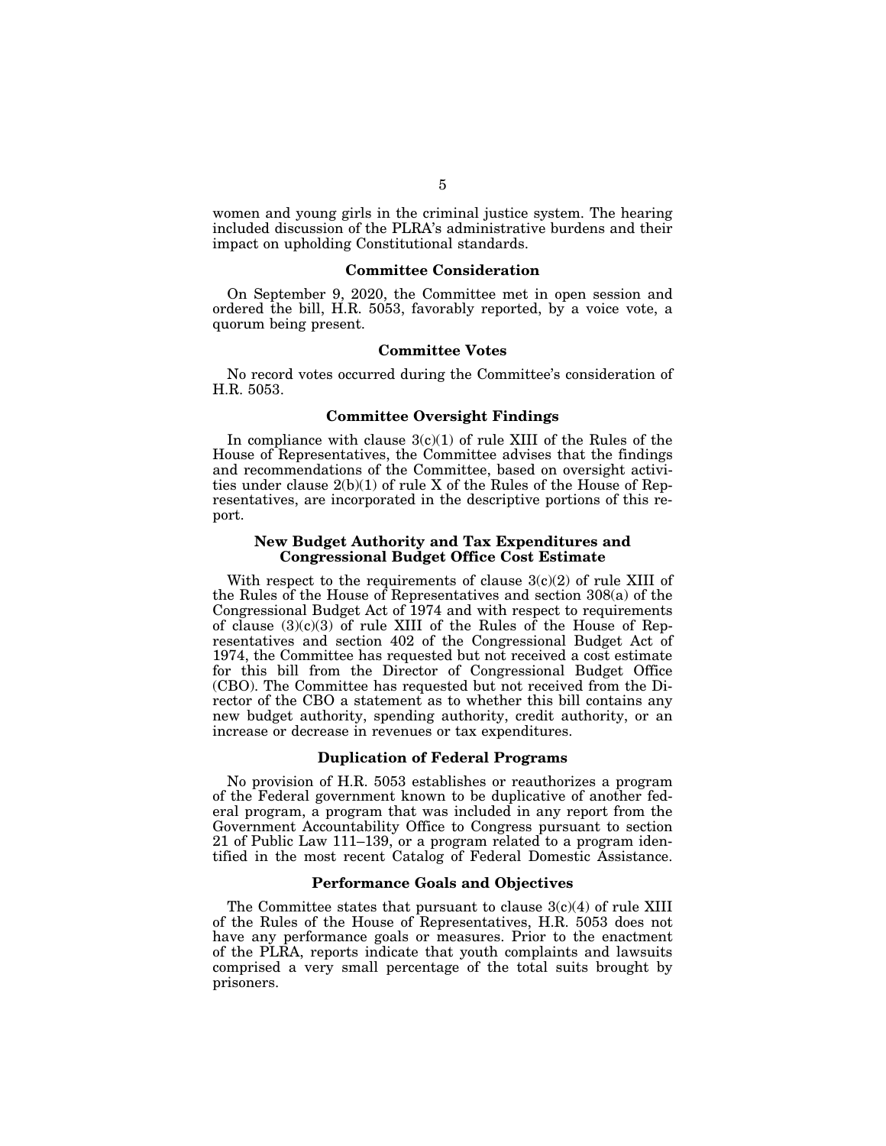women and young girls in the criminal justice system. The hearing included discussion of the PLRA's administrative burdens and their impact on upholding Constitutional standards.

### **Committee Consideration**

On September 9, 2020, the Committee met in open session and ordered the bill, H.R. 5053, favorably reported, by a voice vote, a quorum being present.

#### **Committee Votes**

No record votes occurred during the Committee's consideration of H.R. 5053.

#### **Committee Oversight Findings**

In compliance with clause  $3(c)(1)$  of rule XIII of the Rules of the House of Representatives, the Committee advises that the findings and recommendations of the Committee, based on oversight activities under clause 2(b)(1) of rule X of the Rules of the House of Representatives, are incorporated in the descriptive portions of this report.

### **New Budget Authority and Tax Expenditures and Congressional Budget Office Cost Estimate**

With respect to the requirements of clause  $3(c)(2)$  of rule XIII of the Rules of the House of Representatives and section 308(a) of the Congressional Budget Act of 1974 and with respect to requirements of clause  $(3)(c)(3)$  of rule XIII of the Rules of the House of Representatives and section 402 of the Congressional Budget Act of 1974, the Committee has requested but not received a cost estimate for this bill from the Director of Congressional Budget Office (CBO). The Committee has requested but not received from the Director of the CBO a statement as to whether this bill contains any new budget authority, spending authority, credit authority, or an increase or decrease in revenues or tax expenditures.

### **Duplication of Federal Programs**

No provision of H.R. 5053 establishes or reauthorizes a program of the Federal government known to be duplicative of another federal program, a program that was included in any report from the Government Accountability Office to Congress pursuant to section 21 of Public Law 111–139, or a program related to a program identified in the most recent Catalog of Federal Domestic Assistance.

## **Performance Goals and Objectives**

The Committee states that pursuant to clause  $3(c)(4)$  of rule XIII of the Rules of the House of Representatives, H.R. 5053 does not have any performance goals or measures. Prior to the enactment of the PLRA, reports indicate that youth complaints and lawsuits comprised a very small percentage of the total suits brought by prisoners.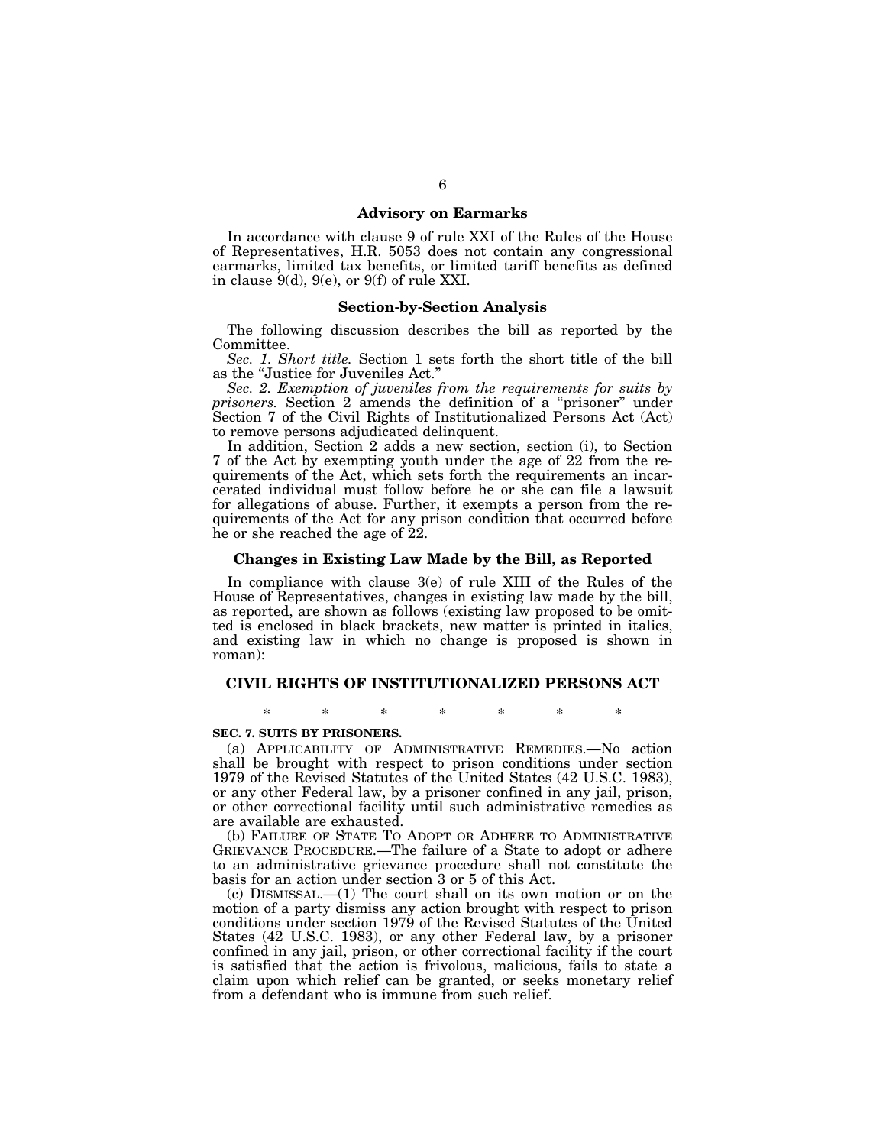### **Advisory on Earmarks**

In accordance with clause 9 of rule XXI of the Rules of the House of Representatives, H.R. 5053 does not contain any congressional earmarks, limited tax benefits, or limited tariff benefits as defined in clause 9(d), 9(e), or 9(f) of rule XXI.

#### **Section-by-Section Analysis**

The following discussion describes the bill as reported by the Committee.

*Sec. 1. Short title.* Section 1 sets forth the short title of the bill as the "Justice for Juveniles Act.

*Sec. 2. Exemption of juveniles from the requirements for suits by prisoners.* Section 2 amends the definition of a ''prisoner'' under Section 7 of the Civil Rights of Institutionalized Persons Act (Act) to remove persons adjudicated delinquent.

In addition, Section 2 adds a new section, section (i), to Section 7 of the Act by exempting youth under the age of 22 from the requirements of the Act, which sets forth the requirements an incarcerated individual must follow before he or she can file a lawsuit for allegations of abuse. Further, it exempts a person from the requirements of the Act for any prison condition that occurred before he or she reached the age of 22.

#### **Changes in Existing Law Made by the Bill, as Reported**

In compliance with clause 3(e) of rule XIII of the Rules of the House of Representatives, changes in existing law made by the bill, as reported, are shown as follows (existing law proposed to be omitted is enclosed in black brackets, new matter is printed in italics, and existing law in which no change is proposed is shown in roman):

#### **CIVIL RIGHTS OF INSTITUTIONALIZED PERSONS ACT**

\* \* \* \* \* \* \*

## **SEC. 7. SUITS BY PRISONERS.**

(a) APPLICABILITY OF ADMINISTRATIVE REMEDIES.—No action shall be brought with respect to prison conditions under section 1979 of the Revised Statutes of the United States (42 U.S.C. 1983), or any other Federal law, by a prisoner confined in any jail, prison, or other correctional facility until such administrative remedies as are available are exhausted.

(b) FAILURE OF STATE TO ADOPT OR ADHERE TO ADMINISTRATIVE GRIEVANCE PROCEDURE.—The failure of a State to adopt or adhere to an administrative grievance procedure shall not constitute the basis for an action under section 3 or 5 of this Act.

(c) DISMISSAL.—(1) The court shall on its own motion or on the motion of a party dismiss any action brought with respect to prison conditions under section 1979 of the Revised Statutes of the United States (42 U.S.C. 1983), or any other Federal law, by a prisoner confined in any jail, prison, or other correctional facility if the court is satisfied that the action is frivolous, malicious, fails to state a claim upon which relief can be granted, or seeks monetary relief from a defendant who is immune from such relief.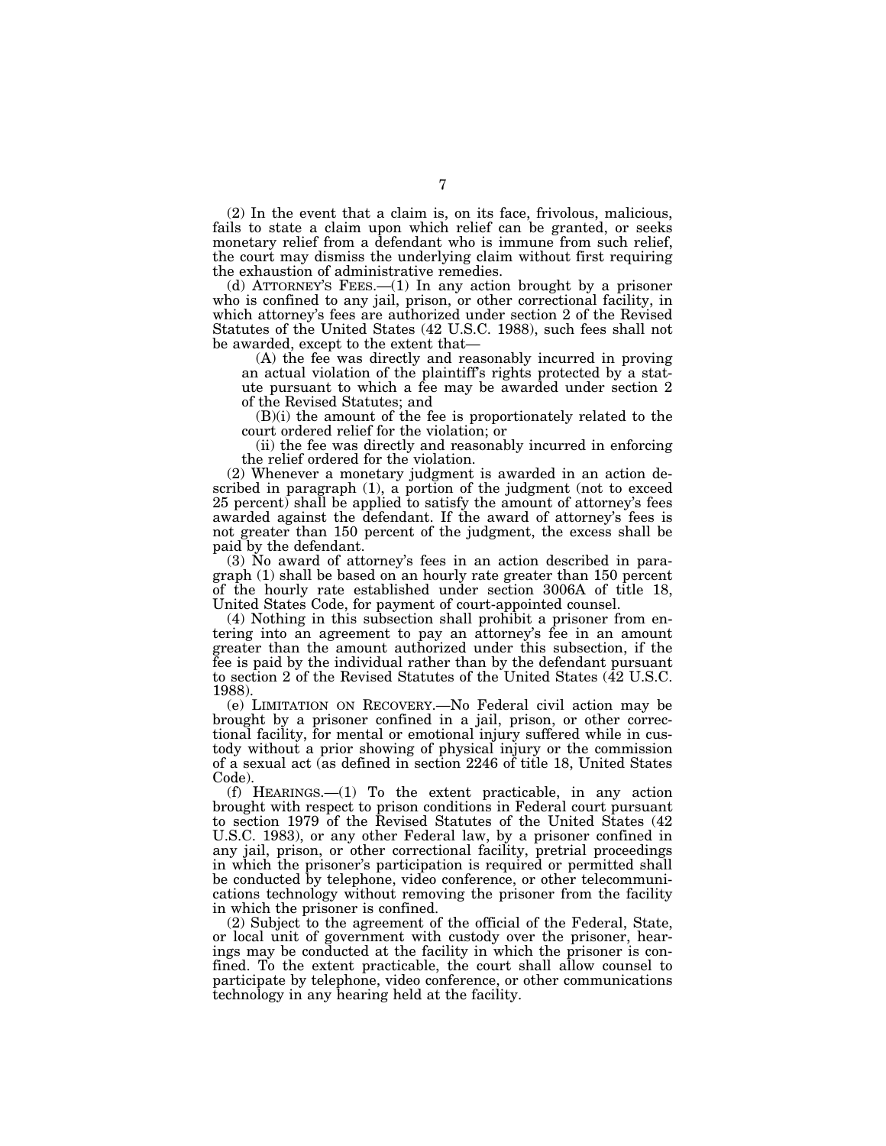(2) In the event that a claim is, on its face, frivolous, malicious, fails to state a claim upon which relief can be granted, or seeks monetary relief from a defendant who is immune from such relief, the court may dismiss the underlying claim without first requiring the exhaustion of administrative remedies.

(d) ATTORNEY'S FEES.—(1) In any action brought by a prisoner who is confined to any jail, prison, or other correctional facility, in which attorney's fees are authorized under section 2 of the Revised Statutes of the United States (42 U.S.C. 1988), such fees shall not be awarded, except to the extent that—

(A) the fee was directly and reasonably incurred in proving an actual violation of the plaintiff's rights protected by a statute pursuant to which a fee may be awarded under section 2 of the Revised Statutes; and

(B)(i) the amount of the fee is proportionately related to the court ordered relief for the violation; or

(ii) the fee was directly and reasonably incurred in enforcing the relief ordered for the violation.

(2) Whenever a monetary judgment is awarded in an action described in paragraph (1), a portion of the judgment (not to exceed 25 percent) shall be applied to satisfy the amount of attorney's fees awarded against the defendant. If the award of attorney's fees is not greater than 150 percent of the judgment, the excess shall be paid by the defendant.

(3) No award of attorney's fees in an action described in paragraph (1) shall be based on an hourly rate greater than 150 percent of the hourly rate established under section 3006A of title 18, United States Code, for payment of court-appointed counsel.

(4) Nothing in this subsection shall prohibit a prisoner from entering into an agreement to pay an attorney's fee in an amount greater than the amount authorized under this subsection, if the fee is paid by the individual rather than by the defendant pursuant to section 2 of the Revised Statutes of the United States (42 U.S.C. 1988).

(e) LIMITATION ON RECOVERY.—No Federal civil action may be brought by a prisoner confined in a jail, prison, or other correctional facility, for mental or emotional injury suffered while in custody without a prior showing of physical injury or the commission of a sexual act (as defined in section 2246 of title 18, United States Code).

(f) HEARINGS.—(1) To the extent practicable, in any action brought with respect to prison conditions in Federal court pursuant to section 1979 of the Revised Statutes of the United States (42 U.S.C. 1983), or any other Federal law, by a prisoner confined in any jail, prison, or other correctional facility, pretrial proceedings in which the prisoner's participation is required or permitted shall be conducted by telephone, video conference, or other telecommunications technology without removing the prisoner from the facility in which the prisoner is confined.

(2) Subject to the agreement of the official of the Federal, State, or local unit of government with custody over the prisoner, hearings may be conducted at the facility in which the prisoner is confined. To the extent practicable, the court shall allow counsel to participate by telephone, video conference, or other communications technology in any hearing held at the facility.